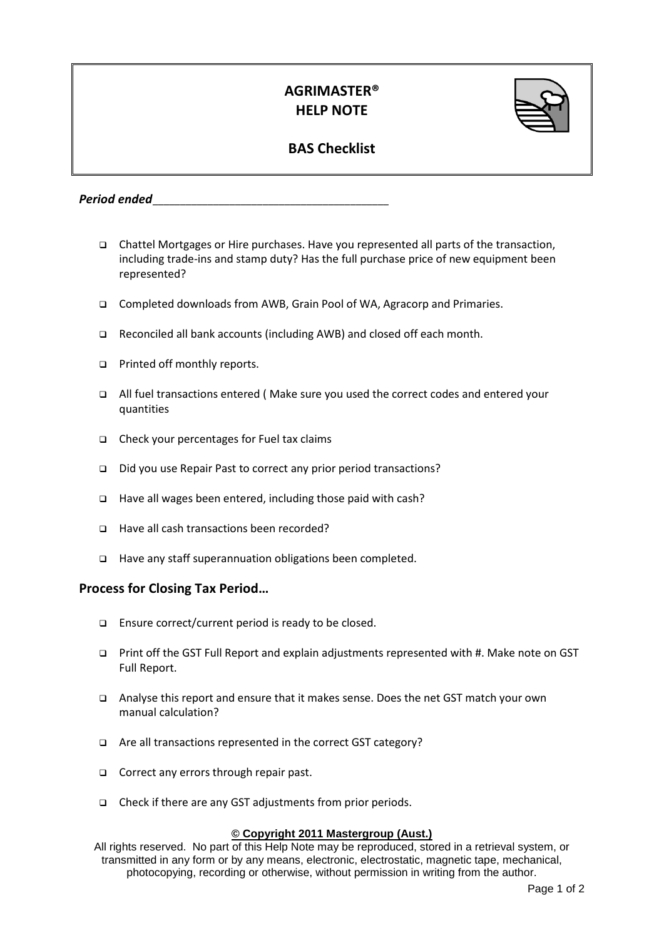## **AGRIMASTER® HELP NOTE**



## **BAS Checklist**

*Period ended\_\_\_\_\_\_\_\_\_\_\_\_\_\_\_\_\_\_\_\_\_\_\_\_\_\_\_\_\_\_\_\_\_\_\_\_\_\_\_\_\_\_\_*

- Chattel Mortgages or Hire purchases. Have you represented all parts of the transaction, including trade-ins and stamp duty? Has the full purchase price of new equipment been represented?
- Completed downloads from AWB, Grain Pool of WA, Agracorp and Primaries.
- □ Reconciled all bank accounts (including AWB) and closed off each month.
- Printed off monthly reports.
- All fuel transactions entered ( Make sure you used the correct codes and entered your quantities
- $\Box$  Check your percentages for Fuel tax claims
- Did you use Repair Past to correct any prior period transactions?
- □ Have all wages been entered, including those paid with cash?
- □ Have all cash transactions been recorded?
- Have any staff superannuation obligations been completed.

## **Process for Closing Tax Period…**

- **Ensure correct/current period is ready to be closed.**
- Print off the GST Full Report and explain adjustments represented with #. Make note on GST Full Report.
- Analyse this report and ensure that it makes sense. Does the net GST match your own manual calculation?
- □ Are all transactions represented in the correct GST category?
- Correct any errors through repair past.
- Check if there are any GST adjustments from prior periods.

## **© Copyright 2011 Mastergroup (Aust.)**

All rights reserved. No part of this Help Note may be reproduced, stored in a retrieval system, or transmitted in any form or by any means, electronic, electrostatic, magnetic tape, mechanical, photocopying, recording or otherwise, without permission in writing from the author.